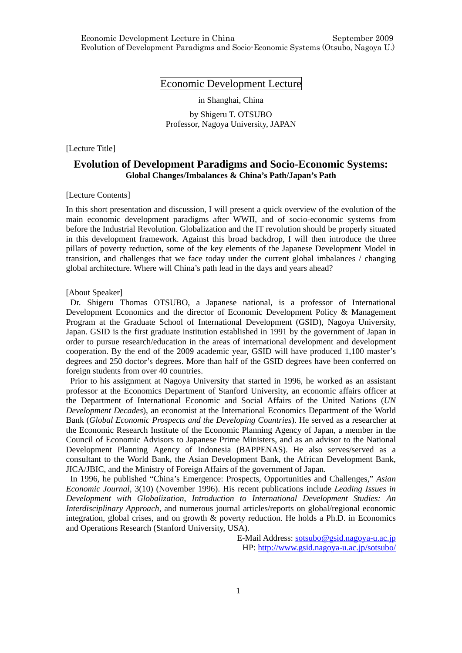# Economic Development Lecture

in Shanghai, China

by Shigeru T. OTSUBO Professor, Nagoya University, JAPAN

[Lecture Title]

# **Evolution of Development Paradigms and Socio-Economic Systems: Global Changes/Imbalances & China's Path/Japan's Path**

### [Lecture Contents]

In this short presentation and discussion, I will present a quick overview of the evolution of the main economic development paradigms after WWII, and of socio-economic systems from before the Industrial Revolution. Globalization and the IT revolution should be properly situated in this development framework. Against this broad backdrop, I will then introduce the three pillars of poverty reduction, some of the key elements of the Japanese Development Model in transition, and challenges that we face today under the current global imbalances / changing global architecture. Where will China's path lead in the days and years ahead?

### [About Speaker]

Dr. Shigeru Thomas OTSUBO, a Japanese national, is a professor of International Development Economics and the director of Economic Development Policy & Management Program at the Graduate School of International Development (GSID), Nagoya University, Japan. GSID is the first graduate institution established in 1991 by the government of Japan in order to pursue research/education in the areas of international development and development cooperation. By the end of the 2009 academic year, GSID will have produced 1,100 master's degrees and 250 doctor's degrees. More than half of the GSID degrees have been conferred on foreign students from over 40 countries.

Prior to his assignment at Nagoya University that started in 1996, he worked as an assistant professor at the Economics Department of Stanford University, an economic affairs officer at the Department of International Economic and Social Affairs of the United Nations (*UN Development Decades*), an economist at the International Economics Department of the World Bank (*Global Economic Prospects and the Developing Countries*). He served as a researcher at the Economic Research Institute of the Economic Planning Agency of Japan, a member in the Council of Economic Advisors to Japanese Prime Ministers, and as an advisor to the National Development Planning Agency of Indonesia (BAPPENAS). He also serves/served as a consultant to the World Bank, the Asian Development Bank, the African Development Bank, JICA/JBIC, and the Ministry of Foreign Affairs of the government of Japan.

In 1996, he published "China's Emergence: Prospects, Opportunities and Challenges," *Asian Economic Journal*, 3(10) (November 1996). His recent publications include *Leading Issues in Development with Globalization*, *Introduction to International Development Studies: An Interdisciplinary Approach*, and numerous journal articles/reports on global/regional economic integration, global crises, and on growth  $\&$  poverty reduction. He holds a Ph.D. in Economics and Operations Research (Stanford University, USA).

> E-Mail Address: sotsubo@gsid.nagoya-u.ac.jp HP: http://www.gsid.nagoya-u.ac.jp/sotsubo/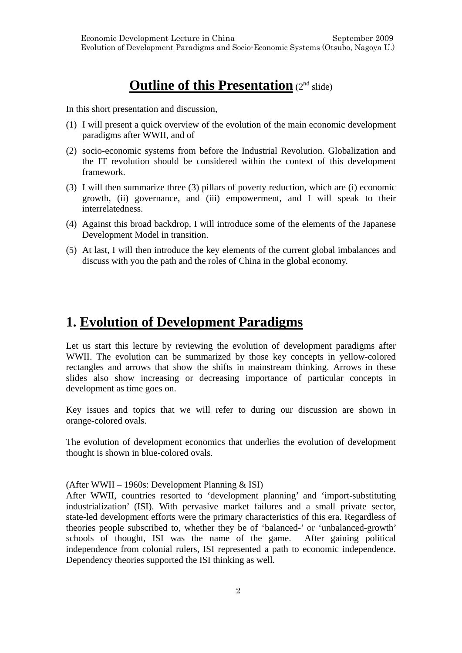# **Outline of this Presentation** (2<sup>nd</sup> slide)

In this short presentation and discussion,

- (1) I will present a quick overview of the evolution of the main economic development paradigms after WWII, and of
- (2) socio-economic systems from before the Industrial Revolution. Globalization and the IT revolution should be considered within the context of this development framework.
- (3) I will then summarize three (3) pillars of poverty reduction, which are (i) economic growth, (ii) governance, and (iii) empowerment, and I will speak to their interrelatedness.
- (4) Against this broad backdrop, I will introduce some of the elements of the Japanese Development Model in transition.
- (5) At last, I will then introduce the key elements of the current global imbalances and discuss with you the path and the roles of China in the global economy.

# **1. Evolution of Development Paradigms**

Let us start this lecture by reviewing the evolution of development paradigms after WWII. The evolution can be summarized by those key concepts in yellow-colored rectangles and arrows that show the shifts in mainstream thinking. Arrows in these slides also show increasing or decreasing importance of particular concepts in development as time goes on.

Key issues and topics that we will refer to during our discussion are shown in orange-colored ovals.

The evolution of development economics that underlies the evolution of development thought is shown in blue-colored ovals.

## (After WWII – 1960s: Development Planning & ISI)

After WWII, countries resorted to 'development planning' and 'import-substituting industrialization' (ISI). With pervasive market failures and a small private sector, state-led development efforts were the primary characteristics of this era. Regardless of theories people subscribed to, whether they be of 'balanced-' or 'unbalanced-growth' schools of thought, ISI was the name of the game. After gaining political independence from colonial rulers, ISI represented a path to economic independence. Dependency theories supported the ISI thinking as well.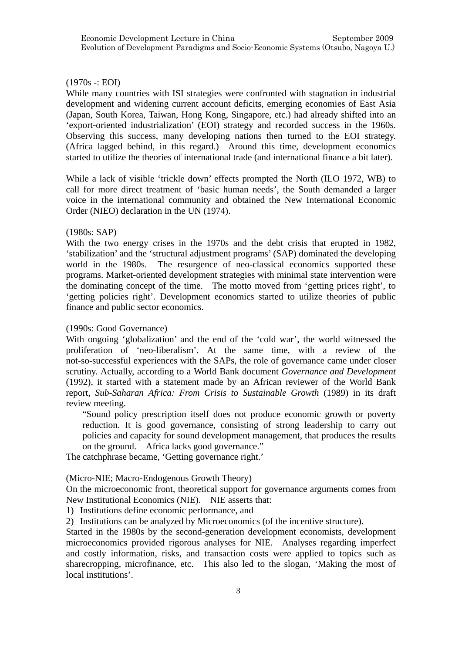# $(1970s - : EOI)$

While many countries with ISI strategies were confronted with stagnation in industrial development and widening current account deficits, emerging economies of East Asia (Japan, South Korea, Taiwan, Hong Kong, Singapore, etc.) had already shifted into an 'export-oriented industrialization' (EOI) strategy and recorded success in the 1960s. Observing this success, many developing nations then turned to the EOI strategy. (Africa lagged behind, in this regard.) Around this time, development economics started to utilize the theories of international trade (and international finance a bit later).

While a lack of visible 'trickle down' effects prompted the North (ILO 1972, WB) to call for more direct treatment of 'basic human needs', the South demanded a larger voice in the international community and obtained the New International Economic Order (NIEO) declaration in the UN (1974).

## (1980s: SAP)

With the two energy crises in the 1970s and the debt crisis that erupted in 1982, 'stabilization' and the 'structural adjustment programs' (SAP) dominated the developing world in the 1980s. The resurgence of neo-classical economics supported these programs. Market-oriented development strategies with minimal state intervention were the dominating concept of the time. The motto moved from 'getting prices right', to 'getting policies right'. Development economics started to utilize theories of public finance and public sector economics.

## (1990s: Good Governance)

With ongoing 'globalization' and the end of the 'cold war', the world witnessed the proliferation of 'neo-liberalism'. At the same time, with a review of the not-so-successful experiences with the SAPs, the role of governance came under closer scrutiny. Actually, according to a World Bank document *Governance and Development*  (1992), it started with a statement made by an African reviewer of the World Bank report, *Sub-Saharan Africa: From Crisis to Sustainable Growth* (1989) in its draft review meeting.

"Sound policy prescription itself does not produce economic growth or poverty reduction. It is good governance, consisting of strong leadership to carry out policies and capacity for sound development management, that produces the results on the ground. Africa lacks good governance."

The catchphrase became, 'Getting governance right.'

(Micro-NIE; Macro-Endogenous Growth Theory)

On the microeconomic front, theoretical support for governance arguments comes from New Institutional Economics (NIE). NIE asserts that:

1) Institutions define economic performance, and

2) Institutions can be analyzed by Microeconomics (of the incentive structure).

Started in the 1980s by the second-generation development economists, development microeconomics provided rigorous analyses for NIE. Analyses regarding imperfect and costly information, risks, and transaction costs were applied to topics such as sharecropping, microfinance, etc. This also led to the slogan, 'Making the most of local institutions'.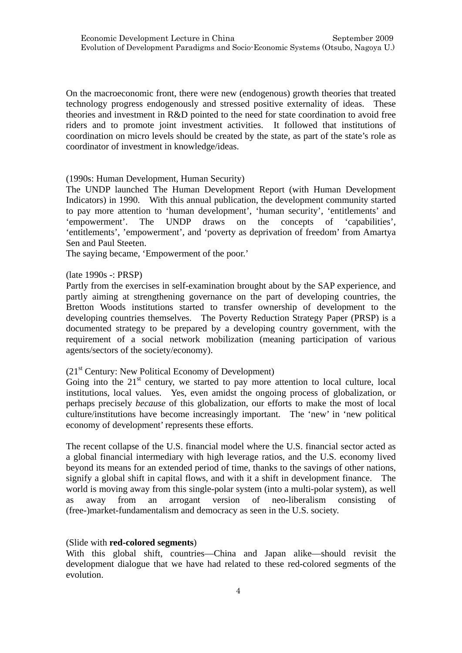On the macroeconomic front, there were new (endogenous) growth theories that treated technology progress endogenously and stressed positive externality of ideas. These theories and investment in R&D pointed to the need for state coordination to avoid free riders and to promote joint investment activities. It followed that institutions of coordination on micro levels should be created by the state, as part of the state's role as coordinator of investment in knowledge/ideas.

## (1990s: Human Development, Human Security)

The UNDP launched The Human Development Report (with Human Development Indicators) in 1990. With this annual publication, the development community started to pay more attention to 'human development', 'human security', 'entitlements' and 'empowerment'. The UNDP draws on the concepts of 'capabilities', 'entitlements', 'empowerment', and 'poverty as deprivation of freedom' from Amartya Sen and Paul Steeten.

The saying became, 'Empowerment of the poor.'

## (late 1990s -: PRSP)

Partly from the exercises in self-examination brought about by the SAP experience, and partly aiming at strengthening governance on the part of developing countries, the Bretton Woods institutions started to transfer ownership of development to the developing countries themselves. The Poverty Reduction Strategy Paper (PRSP) is a documented strategy to be prepared by a developing country government, with the requirement of a social network mobilization (meaning participation of various agents/sectors of the society/economy).

# $(21<sup>st</sup> Century: New Political Economy of Development)$

Going into the  $21<sup>st</sup>$  century, we started to pay more attention to local culture, local institutions, local values. Yes, even amidst the ongoing process of globalization, or perhaps precisely *because* of this globalization, our efforts to make the most of local culture/institutions have become increasingly important. The 'new' in 'new political economy of development' represents these efforts.

The recent collapse of the U.S. financial model where the U.S. financial sector acted as a global financial intermediary with high leverage ratios, and the U.S. economy lived beyond its means for an extended period of time, thanks to the savings of other nations, signify a global shift in capital flows, and with it a shift in development finance. The world is moving away from this single-polar system (into a multi-polar system), as well as away from an arrogant version of neo-liberalism consisting of (free-)market-fundamentalism and democracy as seen in the U.S. society.

## (Slide with **red-colored segments**)

With this global shift, countries—China and Japan alike—should revisit the development dialogue that we have had related to these red-colored segments of the evolution.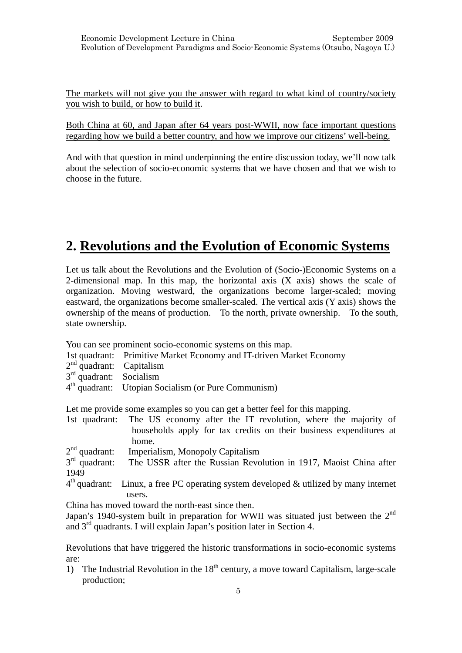The markets will not give you the answer with regard to what kind of country/society you wish to build, or how to build it.

Both China at 60, and Japan after 64 years post-WWII, now face important questions regarding how we build a better country, and how we improve our citizens' well-being.

And with that question in mind underpinning the entire discussion today, we'll now talk about the selection of socio-economic systems that we have chosen and that we wish to choose in the future.

# **2. Revolutions and the Evolution of Economic Systems**

Let us talk about the Revolutions and the Evolution of (Socio-)Economic Systems on a 2-dimensional map. In this map, the horizontal axis  $(X \text{ axis})$  shows the scale of organization. Moving westward, the organizations become larger-scaled; moving eastward, the organizations become smaller-scaled. The vertical axis (Y axis) shows the ownership of the means of production. To the north, private ownership. To the south, state ownership.

You can see prominent socio-economic systems on this map.

- 1st quadrant: Primitive Market Economy and IT-driven Market Economy
- $2<sup>nd</sup>$  quadrant: Capitalism
- $3<sup>rd</sup>$  quadrant: Socialism
- 4th quadrant: Utopian Socialism (or Pure Communism)

Let me provide some examples so you can get a better feel for this mapping.

| home. |  |                                                                                                                                                   |
|-------|--|---------------------------------------------------------------------------------------------------------------------------------------------------|
|       |  | 1st quadrant: The US economy after the IT revolution, where the majority of<br>households apply for tax credits on their business expenditures at |

 $2<sup>nd</sup>$  quadrant: Imperialism, Monopoly Capitalism  $3<sup>rd</sup>$  quadrant: The USSR after the Russian Revo

The USSR after the Russian Revolution in 1917, Maoist China after 1949

 $4<sup>th</sup>$  quadrant: Linux, a free PC operating system developed & utilized by many internet users.

China has moved toward the north-east since then.

Japan's 1940-system built in preparation for WWII was situated just between the  $2<sup>nd</sup>$ and 3rd quadrants. I will explain Japan's position later in Section 4.

Revolutions that have triggered the historic transformations in socio-economic systems are:

1) The Industrial Revolution in the  $18<sup>th</sup>$  century, a move toward Capitalism, large-scale production;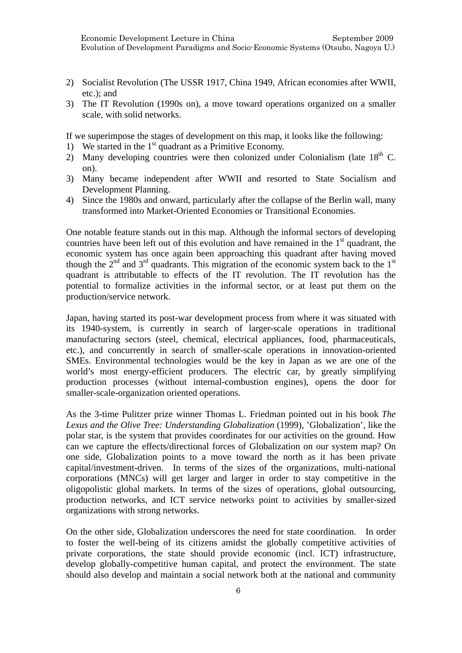- 2) Socialist Revolution (The USSR 1917, China 1949, African economies after WWII, etc.); and
- 3) The IT Revolution (1990s on), a move toward operations organized on a smaller scale, with solid networks.

If we superimpose the stages of development on this map, it looks like the following:

- 1) We started in the  $1<sup>st</sup>$  quadrant as a Primitive Economy.
- 2) Many developing countries were then colonized under Colonialism (late  $18<sup>th</sup>$  C. on).
- 3) Many became independent after WWII and resorted to State Socialism and Development Planning.
- 4) Since the 1980s and onward, particularly after the collapse of the Berlin wall, many transformed into Market-Oriented Economies or Transitional Economies.

One notable feature stands out in this map. Although the informal sectors of developing countries have been left out of this evolution and have remained in the  $1<sup>st</sup>$  quadrant, the economic system has once again been approaching this quadrant after having moved though the  $2<sup>nd</sup>$  and  $3<sup>rd</sup>$  quadrants. This migration of the economic system back to the  $1<sup>st</sup>$ quadrant is attributable to effects of the IT revolution. The IT revolution has the potential to formalize activities in the informal sector, or at least put them on the production/service network.

Japan, having started its post-war development process from where it was situated with its 1940-system, is currently in search of larger-scale operations in traditional manufacturing sectors (steel, chemical, electrical appliances, food, pharmaceuticals, etc.), and concurrently in search of smaller-scale operations in innovation-oriented SMEs. Environmental technologies would be the key in Japan as we are one of the world's most energy-efficient producers. The electric car, by greatly simplifying production processes (without internal-combustion engines), opens the door for smaller-scale-organization oriented operations.

As the 3-time Pulitzer prize winner Thomas L. Friedman pointed out in his book *The Lexus and the Olive Tree: Understanding Globalization* (1999), 'Globalization', like the polar star, is the system that provides coordinates for our activities on the ground. How can we capture the effects/directional forces of Globalization on our system map? On one side, Globalization points to a move toward the north as it has been private capital/investment-driven. In terms of the sizes of the organizations, multi-national corporations (MNCs) will get larger and larger in order to stay competitive in the oligopolistic global markets. In terms of the sizes of operations, global outsourcing, production networks, and ICT service networks point to activities by smaller-sized organizations with strong networks.

On the other side, Globalization underscores the need for state coordination. In order to foster the well-being of its citizens amidst the globally competitive activities of private corporations, the state should provide economic (incl. ICT) infrastructure, develop globally-competitive human capital, and protect the environment. The state should also develop and maintain a social network both at the national and community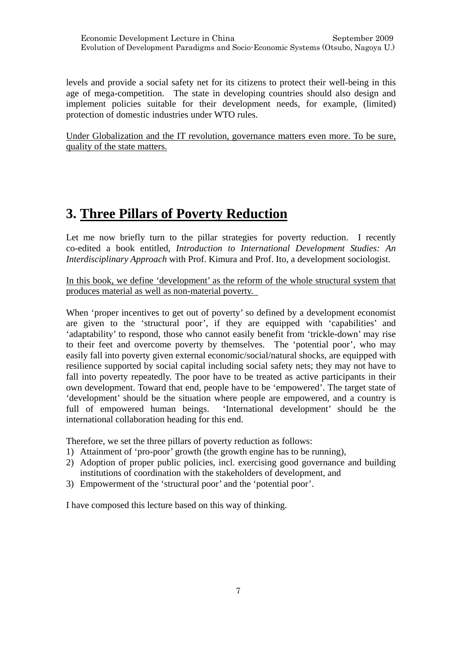levels and provide a social safety net for its citizens to protect their well-being in this age of mega-competition. The state in developing countries should also design and implement policies suitable for their development needs, for example, (limited) protection of domestic industries under WTO rules.

Under Globalization and the IT revolution, governance matters even more. To be sure, quality of the state matters.

# **3. Three Pillars of Poverty Reduction**

Let me now briefly turn to the pillar strategies for poverty reduction. I recently co-edited a book entitled, *Introduction to International Development Studies: An Interdisciplinary Approach* with Prof. Kimura and Prof. Ito, a development sociologist.

In this book, we define 'development' as the reform of the whole structural system that produces material as well as non-material poverty.

When 'proper incentives to get out of poverty' so defined by a development economist are given to the 'structural poor', if they are equipped with 'capabilities' and 'adaptability' to respond, those who cannot easily benefit from 'trickle-down' may rise to their feet and overcome poverty by themselves. The 'potential poor', who may easily fall into poverty given external economic/social/natural shocks, are equipped with resilience supported by social capital including social safety nets; they may not have to fall into poverty repeatedly. The poor have to be treated as active participants in their own development. Toward that end, people have to be 'empowered'. The target state of 'development' should be the situation where people are empowered, and a country is full of empowered human beings. 'International development' should be the international collaboration heading for this end.

Therefore, we set the three pillars of poverty reduction as follows:

- 1) Attainment of 'pro-poor' growth (the growth engine has to be running),
- 2) Adoption of proper public policies, incl. exercising good governance and building institutions of coordination with the stakeholders of development, and
- 3) Empowerment of the 'structural poor' and the 'potential poor'.

I have composed this lecture based on this way of thinking.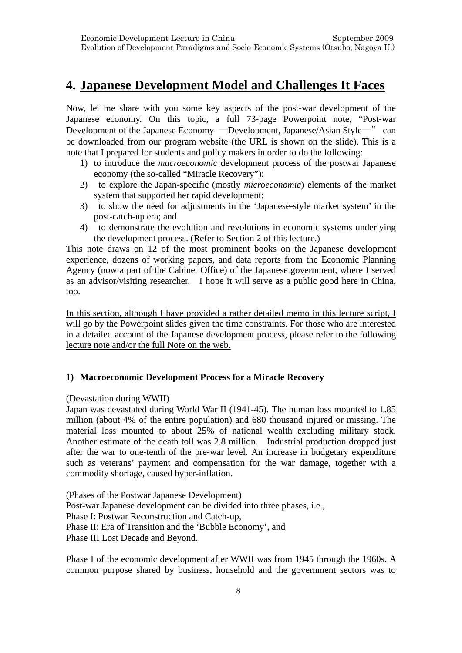# **4. Japanese Development Model and Challenges It Faces**

Now, let me share with you some key aspects of the post-war development of the Japanese economy. On this topic, a full 73-page Powerpoint note, "Post-war Development of the Japanese Economy ―Development, Japanese/Asian Style―" can be downloaded from our program website (the URL is shown on the slide). This is a note that I prepared for students and policy makers in order to do the following:

- 1) to introduce the *macroeconomic* development process of the postwar Japanese economy (the so-called "Miracle Recovery");
- 2) to explore the Japan-specific (mostly *microeconomic*) elements of the market system that supported her rapid development;
- 3) to show the need for adjustments in the 'Japanese-style market system' in the post-catch-up era; and
- 4) to demonstrate the evolution and revolutions in economic systems underlying the development process. (Refer to Section 2 of this lecture.)

This note draws on 12 of the most prominent books on the Japanese development experience, dozens of working papers, and data reports from the Economic Planning Agency (now a part of the Cabinet Office) of the Japanese government, where I served as an advisor/visiting researcher. I hope it will serve as a public good here in China, too.

In this section, although I have provided a rather detailed memo in this lecture script, I will go by the Powerpoint slides given the time constraints. For those who are interested in a detailed account of the Japanese development process, please refer to the following lecture note and/or the full Note on the web.

# **1) Macroeconomic Development Process for a Miracle Recovery**

## (Devastation during WWII)

Japan was devastated during World War II (1941-45). The human loss mounted to 1.85 million (about 4% of the entire population) and 680 thousand injured or missing. The material loss mounted to about 25% of national wealth excluding military stock. Another estimate of the death toll was 2.8 million. Industrial production dropped just after the war to one-tenth of the pre-war level. An increase in budgetary expenditure such as veterans' payment and compensation for the war damage, together with a commodity shortage, caused hyper-inflation.

(Phases of the Postwar Japanese Development) Post-war Japanese development can be divided into three phases, i.e., Phase I: Postwar Reconstruction and Catch-up, Phase II: Era of Transition and the 'Bubble Economy', and Phase III Lost Decade and Beyond.

Phase I of the economic development after WWII was from 1945 through the 1960s. A common purpose shared by business, household and the government sectors was to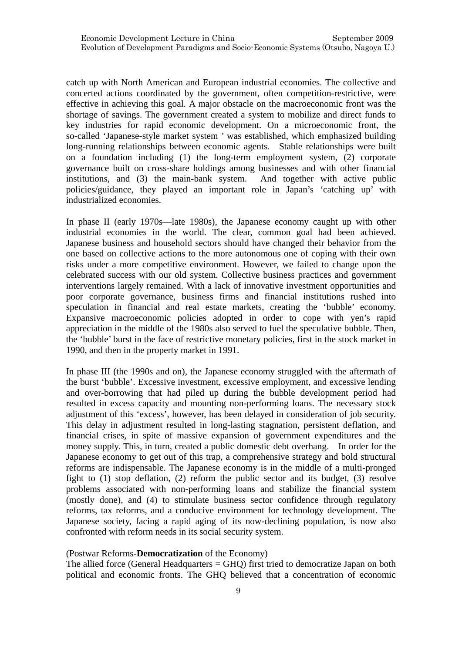catch up with North American and European industrial economies. The collective and concerted actions coordinated by the government, often competition-restrictive, were effective in achieving this goal. A major obstacle on the macroeconomic front was the shortage of savings. The government created a system to mobilize and direct funds to key industries for rapid economic development. On a microeconomic front, the so-called 'Japanese-style market system ' was established, which emphasized building long-running relationships between economic agents. Stable relationships were built on a foundation including (1) the long-term employment system, (2) corporate governance built on cross-share holdings among businesses and with other financial institutions, and (3) the main-bank system. And together with active public policies/guidance, they played an important role in Japan's 'catching up' with industrialized economies.

In phase II (early 1970s—late 1980s), the Japanese economy caught up with other industrial economies in the world. The clear, common goal had been achieved. Japanese business and household sectors should have changed their behavior from the one based on collective actions to the more autonomous one of coping with their own risks under a more competitive environment. However, we failed to change upon the celebrated success with our old system. Collective business practices and government interventions largely remained. With a lack of innovative investment opportunities and poor corporate governance, business firms and financial institutions rushed into speculation in financial and real estate markets, creating the 'bubble' economy. Expansive macroeconomic policies adopted in order to cope with yen's rapid appreciation in the middle of the 1980s also served to fuel the speculative bubble. Then, the 'bubble' burst in the face of restrictive monetary policies, first in the stock market in 1990, and then in the property market in 1991.

In phase III (the 1990s and on), the Japanese economy struggled with the aftermath of the burst 'bubble'. Excessive investment, excessive employment, and excessive lending and over-borrowing that had piled up during the bubble development period had resulted in excess capacity and mounting non-performing loans. The necessary stock adjustment of this 'excess', however, has been delayed in consideration of job security. This delay in adjustment resulted in long-lasting stagnation, persistent deflation, and financial crises, in spite of massive expansion of government expenditures and the money supply. This, in turn, created a public domestic debt overhang. In order for the Japanese economy to get out of this trap, a comprehensive strategy and bold structural reforms are indispensable. The Japanese economy is in the middle of a multi-pronged fight to (1) stop deflation, (2) reform the public sector and its budget, (3) resolve problems associated with non-performing loans and stabilize the financial system (mostly done), and (4) to stimulate business sector confidence through regulatory reforms, tax reforms, and a conducive environment for technology development. The Japanese society, facing a rapid aging of its now-declining population, is now also confronted with reform needs in its social security system.

## (Postwar Reforms-**Democratization** of the Economy)

The allied force (General Headquarters = GHQ) first tried to democratize Japan on both political and economic fronts. The GHQ believed that a concentration of economic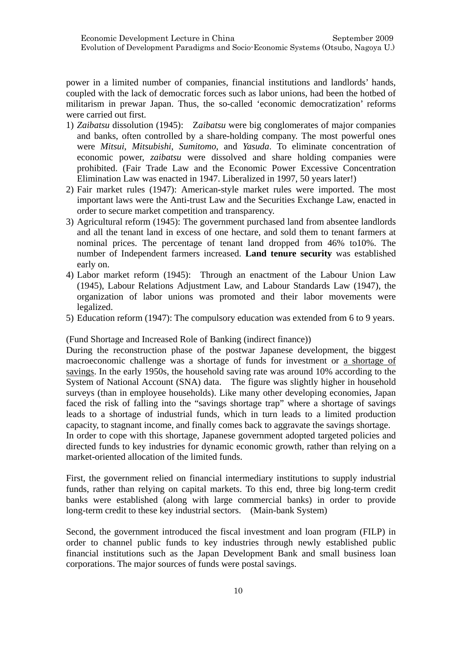power in a limited number of companies, financial institutions and landlords' hands, coupled with the lack of democratic forces such as labor unions, had been the hotbed of militarism in prewar Japan. Thus, the so-called 'economic democratization' reforms were carried out first.

- 1) *Zaibatsu* dissolution (1945): Z*aibatsu* were big conglomerates of major companies and banks, often controlled by a share-holding company. The most powerful ones were *Mitsui*, *Mitsubishi*, *Sumitomo*, and *Yasuda*. To eliminate concentration of economic power, *zaibatsu* were dissolved and share holding companies were prohibited. (Fair Trade Law and the Economic Power Excessive Concentration Elimination Law was enacted in 1947. Liberalized in 1997, 50 years later!)
- 2) Fair market rules (1947): American-style market rules were imported. The most important laws were the Anti-trust Law and the Securities Exchange Law, enacted in order to secure market competition and transparency.
- 3) Agricultural reform (1945): The government purchased land from absentee landlords and all the tenant land in excess of one hectare, and sold them to tenant farmers at nominal prices. The percentage of tenant land dropped from 46% to10%. The number of Independent farmers increased. **Land tenure security** was established early on.
- 4) Labor market reform (1945): Through an enactment of the Labour Union Law (1945), Labour Relations Adjustment Law, and Labour Standards Law (1947), the organization of labor unions was promoted and their labor movements were legalized.
- 5) Education reform (1947): The compulsory education was extended from 6 to 9 years.

(Fund Shortage and Increased Role of Banking (indirect finance))

During the reconstruction phase of the postwar Japanese development, the biggest macroeconomic challenge was a shortage of funds for investment or a shortage of savings. In the early 1950s, the household saving rate was around 10% according to the System of National Account (SNA) data. The figure was slightly higher in household surveys (than in employee households). Like many other developing economies, Japan faced the risk of falling into the "savings shortage trap" where a shortage of savings leads to a shortage of industrial funds, which in turn leads to a limited production capacity, to stagnant income, and finally comes back to aggravate the savings shortage.

In order to cope with this shortage, Japanese government adopted targeted policies and directed funds to key industries for dynamic economic growth, rather than relying on a market-oriented allocation of the limited funds.

First, the government relied on financial intermediary institutions to supply industrial funds, rather than relying on capital markets. To this end, three big long-term credit banks were established (along with large commercial banks) in order to provide long-term credit to these key industrial sectors. (Main-bank System)

Second, the government introduced the fiscal investment and loan program (FILP) in order to channel public funds to key industries through newly established public financial institutions such as the Japan Development Bank and small business loan corporations. The major sources of funds were postal savings.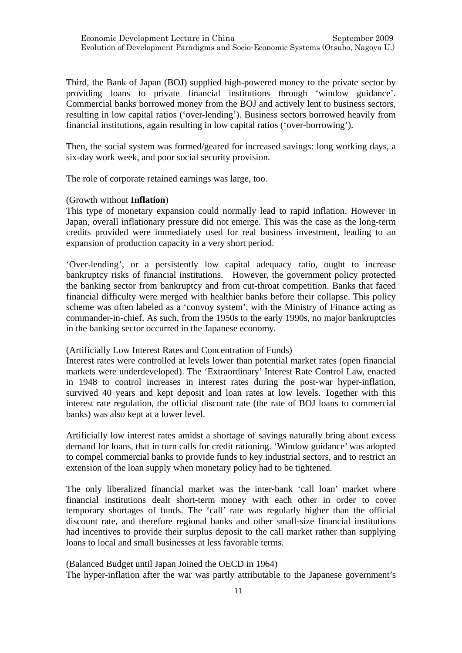Third, the Bank of Japan (BOJ) supplied high-powered money to the private sector by providing loans to private financial institutions through 'window guidance'. Commercial banks borrowed money from the BOJ and actively lent to business sectors, resulting in low capital ratios ('over-lending'). Business sectors borrowed heavily from financial institutions, again resulting in low capital ratios ('over-borrowing').

Then, the social system was formed/geared for increased savings: long working days, a six-day work week, and poor social security provision.

The role of corporate retained earnings was large, too.

## (Growth without **Inflation**)

This type of monetary expansion could normally lead to rapid inflation. However in Japan, overall inflationary pressure did not emerge. This was the case as the long-term credits provided were immediately used for real business investment, leading to an expansion of production capacity in a very short period.

'Over-lending', or a persistently low capital adequacy ratio, ought to increase bankruptcy risks of financial institutions. However, the government policy protected the banking sector from bankruptcy and from cut-throat competition. Banks that faced financial difficulty were merged with healthier banks before their collapse. This policy scheme was often labeled as a 'convoy system', with the Ministry of Finance acting as commander-in-chief. As such, from the 1950s to the early 1990s, no major bankruptcies in the banking sector occurred in the Japanese economy.

### (Artificially Low Interest Rates and Concentration of Funds)

Interest rates were controlled at levels lower than potential market rates (open financial markets were underdeveloped). The 'Extraordinary' Interest Rate Control Law, enacted in 1948 to control increases in interest rates during the post-war hyper-inflation, survived 40 years and kept deposit and loan rates at low levels. Together with this interest rate regulation, the official discount rate (the rate of BOJ loans to commercial banks) was also kept at a lower level.

Artificially low interest rates amidst a shortage of savings naturally bring about excess demand for loans, that in turn calls for credit rationing. 'Window guidance' was adopted to compel commercial banks to provide funds to key industrial sectors, and to restrict an extension of the loan supply when monetary policy had to be tightened.

The only liberalized financial market was the inter-bank 'call loan' market where financial institutions dealt short-term money with each other in order to cover temporary shortages of funds. The 'call' rate was regularly higher than the official discount rate, and therefore regional banks and other small-size financial institutions had incentives to provide their surplus deposit to the call market rather than supplying loans to local and small businesses at less favorable terms.

## (Balanced Budget until Japan Joined the OECD in 1964)

The hyper-inflation after the war was partly attributable to the Japanese government's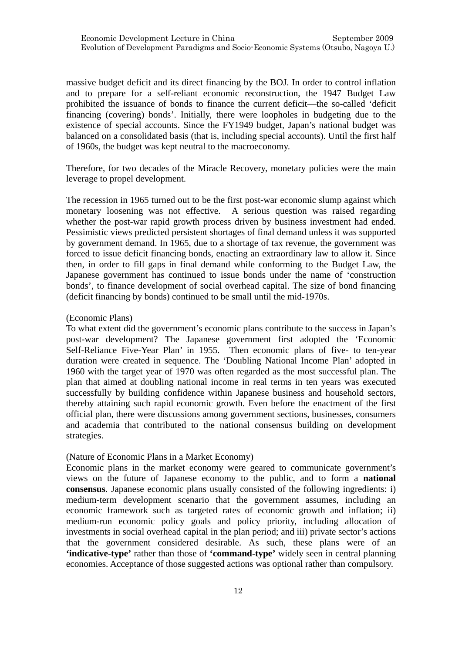massive budget deficit and its direct financing by the BOJ. In order to control inflation and to prepare for a self-reliant economic reconstruction, the 1947 Budget Law prohibited the issuance of bonds to finance the current deficit—the so-called 'deficit financing (covering) bonds'. Initially, there were loopholes in budgeting due to the existence of special accounts. Since the FY1949 budget, Japan's national budget was balanced on a consolidated basis (that is, including special accounts). Until the first half of 1960s, the budget was kept neutral to the macroeconomy.

Therefore, for two decades of the Miracle Recovery, monetary policies were the main leverage to propel development.

The recession in 1965 turned out to be the first post-war economic slump against which monetary loosening was not effective. A serious question was raised regarding whether the post-war rapid growth process driven by business investment had ended. Pessimistic views predicted persistent shortages of final demand unless it was supported by government demand. In 1965, due to a shortage of tax revenue, the government was forced to issue deficit financing bonds, enacting an extraordinary law to allow it. Since then, in order to fill gaps in final demand while conforming to the Budget Law, the Japanese government has continued to issue bonds under the name of 'construction bonds', to finance development of social overhead capital. The size of bond financing (deficit financing by bonds) continued to be small until the mid-1970s.

### (Economic Plans)

To what extent did the government's economic plans contribute to the success in Japan's post-war development? The Japanese government first adopted the 'Economic Self-Reliance Five-Year Plan' in 1955. Then economic plans of five- to ten-year duration were created in sequence. The 'Doubling National Income Plan' adopted in 1960 with the target year of 1970 was often regarded as the most successful plan. The plan that aimed at doubling national income in real terms in ten years was executed successfully by building confidence within Japanese business and household sectors, thereby attaining such rapid economic growth. Even before the enactment of the first official plan, there were discussions among government sections, businesses, consumers and academia that contributed to the national consensus building on development strategies.

## (Nature of Economic Plans in a Market Economy)

Economic plans in the market economy were geared to communicate government's views on the future of Japanese economy to the public, and to form a **national consensus**. Japanese economic plans usually consisted of the following ingredients: i) medium-term development scenario that the government assumes, including an economic framework such as targeted rates of economic growth and inflation; ii) medium-run economic policy goals and policy priority, including allocation of investments in social overhead capital in the plan period; and iii) private sector's actions that the government considered desirable. As such, these plans were of an **'indicative-type'** rather than those of **'command-type'** widely seen in central planning economies. Acceptance of those suggested actions was optional rather than compulsory.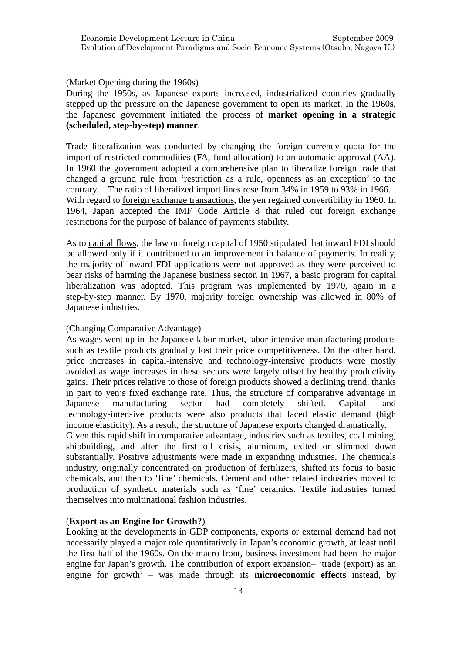## (Market Opening during the 1960s)

During the 1950s, as Japanese exports increased, industrialized countries gradually stepped up the pressure on the Japanese government to open its market. In the 1960s, the Japanese government initiated the process of **market opening in a strategic (scheduled, step-by-step) manner**.

Trade liberalization was conducted by changing the foreign currency quota for the import of restricted commodities (FA, fund allocation) to an automatic approval (AA). In 1960 the government adopted a comprehensive plan to liberalize foreign trade that changed a ground rule from 'restriction as a rule, openness as an exception' to the contrary. The ratio of liberalized import lines rose from 34% in 1959 to 93% in 1966. With regard to foreign exchange transactions, the yen regained convertibility in 1960. In 1964, Japan accepted the IMF Code Article 8 that ruled out foreign exchange restrictions for the purpose of balance of payments stability.

As to capital flows, the law on foreign capital of 1950 stipulated that inward FDI should be allowed only if it contributed to an improvement in balance of payments. In reality, the majority of inward FDI applications were not approved as they were perceived to bear risks of harming the Japanese business sector. In 1967, a basic program for capital liberalization was adopted. This program was implemented by 1970, again in a step-by-step manner. By 1970, majority foreign ownership was allowed in 80% of Japanese industries.

# (Changing Comparative Advantage)

As wages went up in the Japanese labor market, labor-intensive manufacturing products such as textile products gradually lost their price competitiveness. On the other hand, price increases in capital-intensive and technology-intensive products were mostly avoided as wage increases in these sectors were largely offset by healthy productivity gains. Their prices relative to those of foreign products showed a declining trend, thanks in part to yen's fixed exchange rate. Thus, the structure of comparative advantage in Japanese manufacturing sector had completely shifted. Capital- and technology-intensive products were also products that faced elastic demand (high income elasticity). As a result, the structure of Japanese exports changed dramatically. Given this rapid shift in comparative advantage, industries such as textiles, coal mining, shipbuilding, and after the first oil crisis, aluminum, exited or slimmed down substantially. Positive adjustments were made in expanding industries. The chemicals industry, originally concentrated on production of fertilizers, shifted its focus to basic chemicals, and then to 'fine' chemicals. Cement and other related industries moved to production of synthetic materials such as 'fine' ceramics. Textile industries turned themselves into multinational fashion industries.

# (**Export as an Engine for Growth?**)

Looking at the developments in GDP components, exports or external demand had not necessarily played a major role quantitatively in Japan's economic growth, at least until the first half of the 1960s. On the macro front, business investment had been the major engine for Japan's growth. The contribution of export expansion– 'trade (export) as an engine for growth' – was made through its **microeconomic effects** instead, by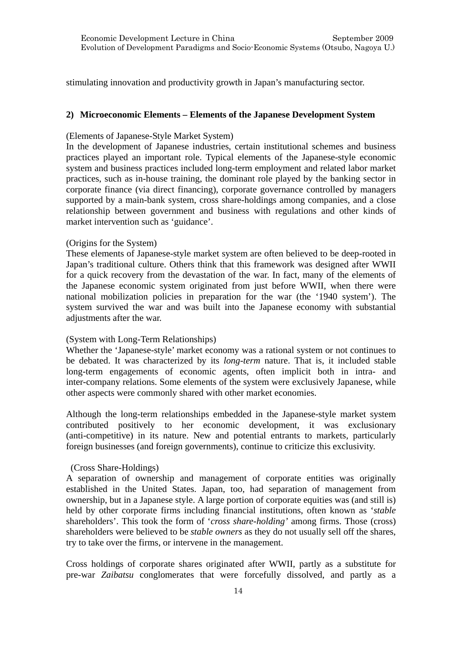stimulating innovation and productivity growth in Japan's manufacturing sector.

## **2) Microeconomic Elements – Elements of the Japanese Development System**

## (Elements of Japanese-Style Market System)

In the development of Japanese industries, certain institutional schemes and business practices played an important role. Typical elements of the Japanese-style economic system and business practices included long-term employment and related labor market practices, such as in-house training, the dominant role played by the banking sector in corporate finance (via direct financing), corporate governance controlled by managers supported by a main-bank system, cross share-holdings among companies, and a close relationship between government and business with regulations and other kinds of market intervention such as 'guidance'.

### (Origins for the System)

These elements of Japanese-style market system are often believed to be deep-rooted in Japan's traditional culture. Others think that this framework was designed after WWII for a quick recovery from the devastation of the war. In fact, many of the elements of the Japanese economic system originated from just before WWII, when there were national mobilization policies in preparation for the war (the '1940 system'). The system survived the war and was built into the Japanese economy with substantial adjustments after the war.

## (System with Long-Term Relationships)

Whether the 'Japanese-style' market economy was a rational system or not continues to be debated. It was characterized by its *long-term* nature. That is, it included stable long-term engagements of economic agents, often implicit both in intra- and inter-company relations. Some elements of the system were exclusively Japanese, while other aspects were commonly shared with other market economies.

Although the long-term relationships embedded in the Japanese-style market system contributed positively to her economic development, it was exclusionary (anti-competitive) in its nature. New and potential entrants to markets, particularly foreign businesses (and foreign governments), continue to criticize this exclusivity.

## (Cross Share-Holdings)

A separation of ownership and management of corporate entities was originally established in the United States. Japan, too, had separation of management from ownership, but in a Japanese style. A large portion of corporate equities was (and still is) held by other corporate firms including financial institutions, often known as '*stable* shareholders'. This took the form of '*cross share-holding'* among firms. Those (cross) shareholders were believed to be *stable owners* as they do not usually sell off the shares, try to take over the firms, or intervene in the management.

Cross holdings of corporate shares originated after WWII, partly as a substitute for pre-war *Zaibatsu* conglomerates that were forcefully dissolved, and partly as a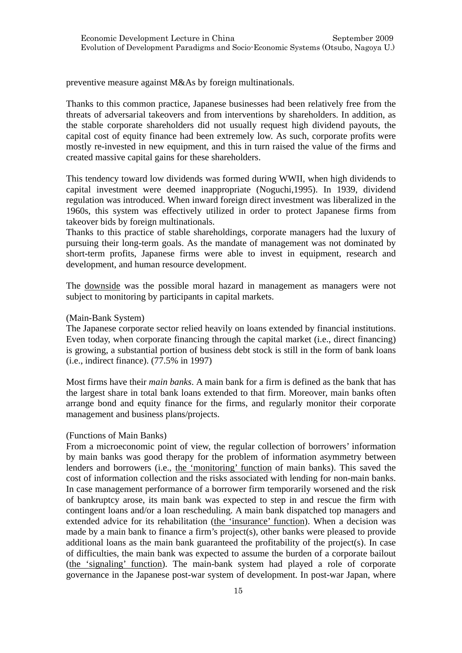preventive measure against M&As by foreign multinationals.

Thanks to this common practice, Japanese businesses had been relatively free from the threats of adversarial takeovers and from interventions by shareholders. In addition, as the stable corporate shareholders did not usually request high dividend payouts, the capital cost of equity finance had been extremely low. As such, corporate profits were mostly re-invested in new equipment, and this in turn raised the value of the firms and created massive capital gains for these shareholders.

This tendency toward low dividends was formed during WWII, when high dividends to capital investment were deemed inappropriate (Noguchi,1995). In 1939, dividend regulation was introduced. When inward foreign direct investment was liberalized in the 1960s, this system was effectively utilized in order to protect Japanese firms from takeover bids by foreign multinationals.

Thanks to this practice of stable shareholdings, corporate managers had the luxury of pursuing their long-term goals. As the mandate of management was not dominated by short-term profits, Japanese firms were able to invest in equipment, research and development, and human resource development.

The downside was the possible moral hazard in management as managers were not subject to monitoring by participants in capital markets.

## (Main-Bank System)

The Japanese corporate sector relied heavily on loans extended by financial institutions. Even today, when corporate financing through the capital market (i.e., direct financing) is growing, a substantial portion of business debt stock is still in the form of bank loans (i.e., indirect finance). (77.5% in 1997)

Most firms have their *main banks*. A main bank for a firm is defined as the bank that has the largest share in total bank loans extended to that firm. Moreover, main banks often arrange bond and equity finance for the firms, and regularly monitor their corporate management and business plans/projects.

## (Functions of Main Banks)

From a microeconomic point of view, the regular collection of borrowers' information by main banks was good therapy for the problem of information asymmetry between lenders and borrowers (i.e., the 'monitoring' function of main banks). This saved the cost of information collection and the risks associated with lending for non-main banks. In case management performance of a borrower firm temporarily worsened and the risk of bankruptcy arose, its main bank was expected to step in and rescue the firm with contingent loans and/or a loan rescheduling. A main bank dispatched top managers and extended advice for its rehabilitation (the 'insurance' function). When a decision was made by a main bank to finance a firm's project(s), other banks were pleased to provide additional loans as the main bank guaranteed the profitability of the project(s). In case of difficulties, the main bank was expected to assume the burden of a corporate bailout (the 'signaling' function). The main-bank system had played a role of corporate governance in the Japanese post-war system of development. In post-war Japan, where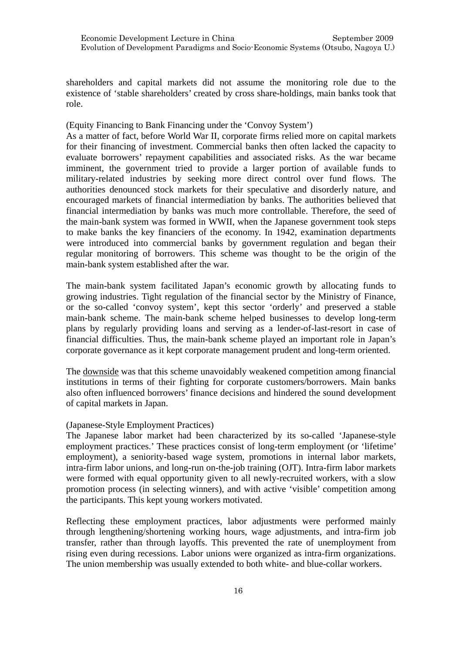shareholders and capital markets did not assume the monitoring role due to the existence of 'stable shareholders' created by cross share-holdings, main banks took that role.

(Equity Financing to Bank Financing under the 'Convoy System')

As a matter of fact, before World War II, corporate firms relied more on capital markets for their financing of investment. Commercial banks then often lacked the capacity to evaluate borrowers' repayment capabilities and associated risks. As the war became imminent, the government tried to provide a larger portion of available funds to military-related industries by seeking more direct control over fund flows. The authorities denounced stock markets for their speculative and disorderly nature, and encouraged markets of financial intermediation by banks. The authorities believed that financial intermediation by banks was much more controllable. Therefore, the seed of the main-bank system was formed in WWII, when the Japanese government took steps to make banks the key financiers of the economy. In 1942, examination departments were introduced into commercial banks by government regulation and began their regular monitoring of borrowers. This scheme was thought to be the origin of the main-bank system established after the war.

The main-bank system facilitated Japan's economic growth by allocating funds to growing industries. Tight regulation of the financial sector by the Ministry of Finance, or the so-called 'convoy system', kept this sector 'orderly' and preserved a stable main-bank scheme. The main-bank scheme helped businesses to develop long-term plans by regularly providing loans and serving as a lender-of-last-resort in case of financial difficulties. Thus, the main-bank scheme played an important role in Japan's corporate governance as it kept corporate management prudent and long-term oriented.

The downside was that this scheme unavoidably weakened competition among financial institutions in terms of their fighting for corporate customers/borrowers. Main banks also often influenced borrowers' finance decisions and hindered the sound development of capital markets in Japan.

## (Japanese-Style Employment Practices)

The Japanese labor market had been characterized by its so-called 'Japanese-style employment practices.' These practices consist of long-term employment (or 'lifetime' employment), a seniority-based wage system, promotions in internal labor markets, intra-firm labor unions, and long-run on-the-job training (OJT). Intra-firm labor markets were formed with equal opportunity given to all newly-recruited workers, with a slow promotion process (in selecting winners), and with active 'visible' competition among the participants. This kept young workers motivated.

Reflecting these employment practices, labor adjustments were performed mainly through lengthening/shortening working hours, wage adjustments, and intra-firm job transfer, rather than through layoffs. This prevented the rate of unemployment from rising even during recessions. Labor unions were organized as intra-firm organizations. The union membership was usually extended to both white- and blue-collar workers.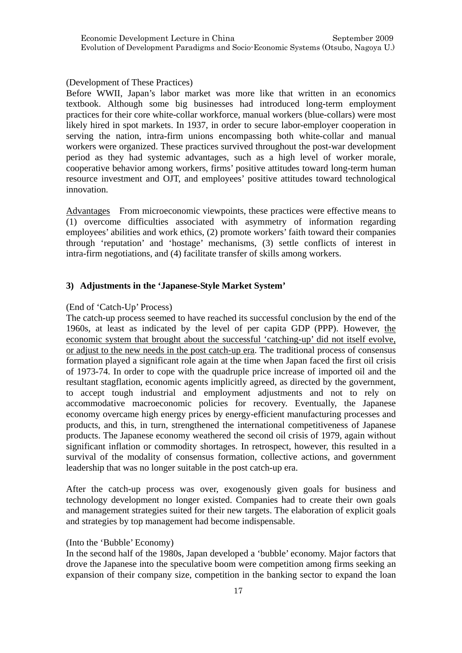(Development of These Practices)

Before WWII, Japan's labor market was more like that written in an economics textbook. Although some big businesses had introduced long-term employment practices for their core white-collar workforce, manual workers (blue-collars) were most likely hired in spot markets. In 1937, in order to secure labor-employer cooperation in serving the nation, intra-firm unions encompassing both white-collar and manual workers were organized. These practices survived throughout the post-war development period as they had systemic advantages, such as a high level of worker morale, cooperative behavior among workers, firms' positive attitudes toward long-term human resource investment and OJT, and employees' positive attitudes toward technological innovation.

Advantages From microeconomic viewpoints, these practices were effective means to (1) overcome difficulties associated with asymmetry of information regarding employees' abilities and work ethics, (2) promote workers' faith toward their companies through 'reputation' and 'hostage' mechanisms, (3) settle conflicts of interest in intra-firm negotiations, and (4) facilitate transfer of skills among workers.

# **3) Adjustments in the 'Japanese-Style Market System'**

## (End of 'Catch-Up' Process)

The catch-up process seemed to have reached its successful conclusion by the end of the 1960s, at least as indicated by the level of per capita GDP (PPP). However, the economic system that brought about the successful 'catching-up' did not itself evolve, or adjust to the new needs in the post catch-up era. The traditional process of consensus formation played a significant role again at the time when Japan faced the first oil crisis of 1973-74. In order to cope with the quadruple price increase of imported oil and the resultant stagflation, economic agents implicitly agreed, as directed by the government, to accept tough industrial and employment adjustments and not to rely on accommodative macroeconomic policies for recovery. Eventually, the Japanese economy overcame high energy prices by energy-efficient manufacturing processes and products, and this, in turn, strengthened the international competitiveness of Japanese products. The Japanese economy weathered the second oil crisis of 1979, again without significant inflation or commodity shortages. In retrospect, however, this resulted in a survival of the modality of consensus formation, collective actions, and government leadership that was no longer suitable in the post catch-up era.

After the catch-up process was over, exogenously given goals for business and technology development no longer existed. Companies had to create their own goals and management strategies suited for their new targets. The elaboration of explicit goals and strategies by top management had become indispensable.

## (Into the 'Bubble' Economy)

In the second half of the 1980s, Japan developed a 'bubble' economy. Major factors that drove the Japanese into the speculative boom were competition among firms seeking an expansion of their company size, competition in the banking sector to expand the loan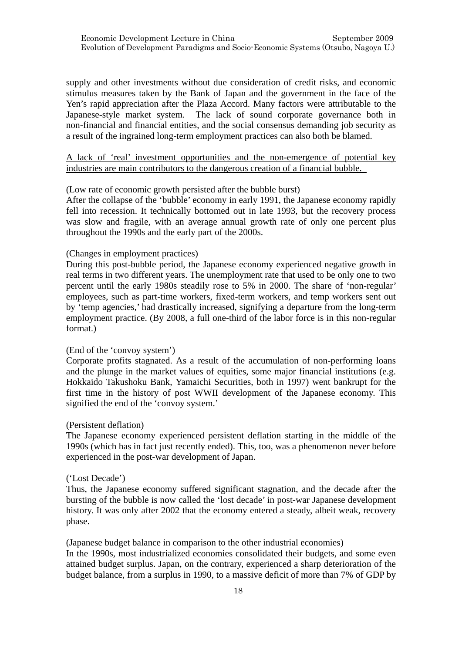supply and other investments without due consideration of credit risks, and economic stimulus measures taken by the Bank of Japan and the government in the face of the Yen's rapid appreciation after the Plaza Accord. Many factors were attributable to the Japanese-style market system. The lack of sound corporate governance both in non-financial and financial entities, and the social consensus demanding job security as a result of the ingrained long-term employment practices can also both be blamed.

# A lack of 'real' investment opportunities and the non-emergence of potential key industries are main contributors to the dangerous creation of a financial bubble.

## (Low rate of economic growth persisted after the bubble burst)

After the collapse of the 'bubble' economy in early 1991, the Japanese economy rapidly fell into recession. It technically bottomed out in late 1993, but the recovery process was slow and fragile, with an average annual growth rate of only one percent plus throughout the 1990s and the early part of the 2000s.

## (Changes in employment practices)

During this post-bubble period, the Japanese economy experienced negative growth in real terms in two different years. The unemployment rate that used to be only one to two percent until the early 1980s steadily rose to 5% in 2000. The share of 'non-regular' employees, such as part-time workers, fixed-term workers, and temp workers sent out by 'temp agencies,' had drastically increased, signifying a departure from the long-term employment practice. (By 2008, a full one-third of the labor force is in this non-regular format.)

## (End of the 'convoy system')

Corporate profits stagnated. As a result of the accumulation of non-performing loans and the plunge in the market values of equities, some major financial institutions (e.g. Hokkaido Takushoku Bank, Yamaichi Securities, both in 1997) went bankrupt for the first time in the history of post WWII development of the Japanese economy. This signified the end of the 'convoy system.'

### (Persistent deflation)

The Japanese economy experienced persistent deflation starting in the middle of the 1990s (which has in fact just recently ended). This, too, was a phenomenon never before experienced in the post-war development of Japan.

### ('Lost Decade')

Thus, the Japanese economy suffered significant stagnation, and the decade after the bursting of the bubble is now called the 'lost decade' in post-war Japanese development history. It was only after 2002 that the economy entered a steady, albeit weak, recovery phase.

(Japanese budget balance in comparison to the other industrial economies)

In the 1990s, most industrialized economies consolidated their budgets, and some even attained budget surplus. Japan, on the contrary, experienced a sharp deterioration of the budget balance, from a surplus in 1990, to a massive deficit of more than 7% of GDP by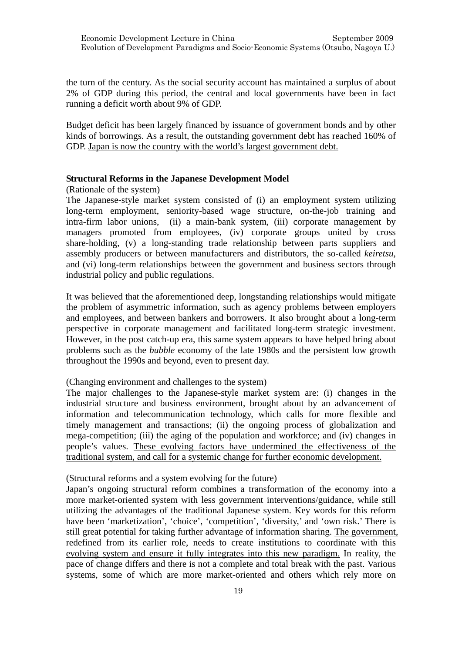the turn of the century. As the social security account has maintained a surplus of about 2% of GDP during this period, the central and local governments have been in fact running a deficit worth about 9% of GDP.

Budget deficit has been largely financed by issuance of government bonds and by other kinds of borrowings. As a result, the outstanding government debt has reached 160% of GDP. Japan is now the country with the world's largest government debt.

## **Structural Reforms in the Japanese Development Model**

(Rationale of the system)

The Japanese-style market system consisted of (i) an employment system utilizing long-term employment, seniority-based wage structure, on-the-job training and intra-firm labor unions, (ii) a main-bank system, (iii) corporate management by managers promoted from employees, (iv) corporate groups united by cross share-holding, (v) a long-standing trade relationship between parts suppliers and assembly producers or between manufacturers and distributors, the so-called *keiretsu*, and (vi) long-term relationships between the government and business sectors through industrial policy and public regulations.

It was believed that the aforementioned deep, longstanding relationships would mitigate the problem of asymmetric information, such as agency problems between employers and employees, and between bankers and borrowers. It also brought about a long-term perspective in corporate management and facilitated long-term strategic investment. However, in the post catch-up era, this same system appears to have helped bring about problems such as the *bubble* economy of the late 1980s and the persistent low growth throughout the 1990s and beyond, even to present day.

# (Changing environment and challenges to the system)

The major challenges to the Japanese-style market system are: (i) changes in the industrial structure and business environment, brought about by an advancement of information and telecommunication technology, which calls for more flexible and timely management and transactions; (ii) the ongoing process of globalization and mega-competition; (iii) the aging of the population and workforce; and (iv) changes in people's values. These evolving factors have undermined the effectiveness of the traditional system, and call for a systemic change for further economic development.

# (Structural reforms and a system evolving for the future)

Japan's ongoing structural reform combines a transformation of the economy into a more market-oriented system with less government interventions/guidance, while still utilizing the advantages of the traditional Japanese system. Key words for this reform have been 'marketization', 'choice', 'competition', 'diversity,' and 'own risk.' There is still great potential for taking further advantage of information sharing. The government, redefined from its earlier role, needs to create institutions to coordinate with this evolving system and ensure it fully integrates into this new paradigm. In reality, the pace of change differs and there is not a complete and total break with the past. Various systems, some of which are more market-oriented and others which rely more on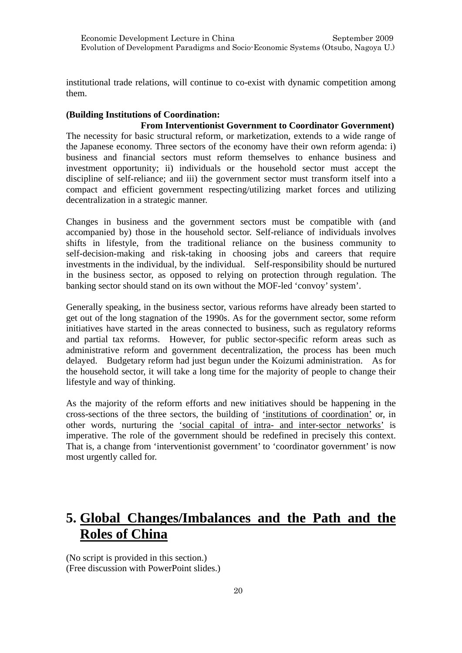institutional trade relations, will continue to co-exist with dynamic competition among them.

# **(Building Institutions of Coordination:**

 **From Interventionist Government to Coordinator Government)** The necessity for basic structural reform, or marketization, extends to a wide range of the Japanese economy. Three sectors of the economy have their own reform agenda: i) business and financial sectors must reform themselves to enhance business and investment opportunity; ii) individuals or the household sector must accept the discipline of self-reliance; and iii) the government sector must transform itself into a compact and efficient government respecting/utilizing market forces and utilizing decentralization in a strategic manner.

Changes in business and the government sectors must be compatible with (and accompanied by) those in the household sector. Self-reliance of individuals involves shifts in lifestyle, from the traditional reliance on the business community to self-decision-making and risk-taking in choosing jobs and careers that require investments in the individual, by the individual. Self-responsibility should be nurtured in the business sector, as opposed to relying on protection through regulation. The banking sector should stand on its own without the MOF-led 'convoy' system'.

Generally speaking, in the business sector, various reforms have already been started to get out of the long stagnation of the 1990s. As for the government sector, some reform initiatives have started in the areas connected to business, such as regulatory reforms and partial tax reforms. However, for public sector-specific reform areas such as administrative reform and government decentralization, the process has been much delayed. Budgetary reform had just begun under the Koizumi administration. As for the household sector, it will take a long time for the majority of people to change their lifestyle and way of thinking.

As the majority of the reform efforts and new initiatives should be happening in the cross-sections of the three sectors, the building of 'institutions of coordination' or, in other words, nurturing the 'social capital of intra- and inter-sector networks' is imperative. The role of the government should be redefined in precisely this context. That is, a change from 'interventionist government' to 'coordinator government' is now most urgently called for.

# **5. Global Changes/Imbalances and the Path and the Roles of China**

(No script is provided in this section.) (Free discussion with PowerPoint slides.)